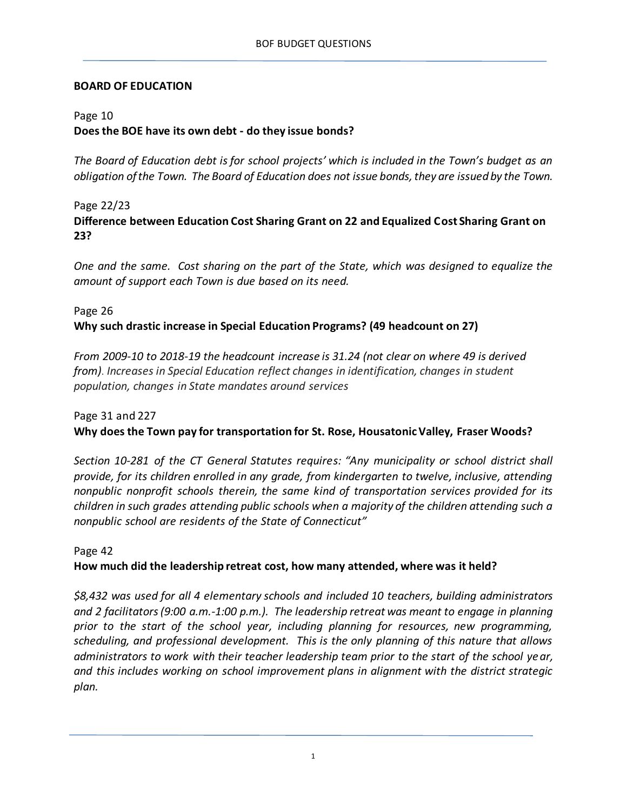#### **BOARD OF EDUCATION**

### Page 10

# **Does the BOE have its own debt - do they issue bonds?**

*The Board of Education debt is for school projects' which is included in the Town's budget as an obligation of the Town. The Board of Education does not issue bonds, they are issued by the Town.*

Page 22/23

**Difference between Education Cost Sharing Grant on 22 and Equalized Cost Sharing Grant on 23?**

*One and the same. Cost sharing on the part of the State, which was designed to equalize the amount of support each Town is due based on its need.*

# Page 26 **Why such drastic increase in Special Education Programs? (49 headcount on 27)**

*From 2009-10 to 2018-19 the headcount increase is 31.24 (not clear on where 49 is derived from)*. *Increases in Special Education reflect changes in identification, changes in student population, changes in State mandates around services*

### Page 31 and 227

### **Why does the Town pay for transportation for St. Rose, Housatonic Valley, Fraser Woods?**

*Section 10-281 of the CT General Statutes requires: "Any municipality or school district shall provide, for its children enrolled in any grade, from kindergarten to twelve, inclusive, attending nonpublic nonprofit schools therein, the same kind of transportation services provided for its children in such grades attending public schools when a majority of the children attending such a nonpublic school are residents of the State of Connecticut"*

#### Page 42 **How much did the leadership retreat cost, how many attended, where was it held?**

*\$8,432 was used for all 4 elementary schools and included 10 teachers, building administrators and 2 facilitators(9:00 a.m.-1:00 p.m.). The leadership retreat was meant to engage in planning prior to the start of the school year, including planning for resources, new programming, scheduling, and professional development. This is the only planning of this nature that allows administrators to work with their teacher leadership team prior to the start of the school year, and this includes working on school improvement plans in alignment with the district strategic plan.*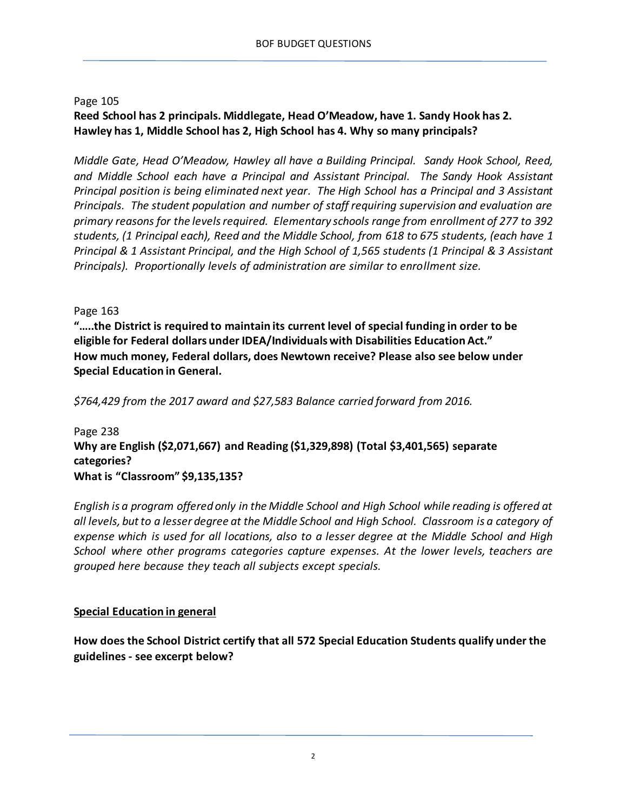### Page 105 **Reed School has 2 principals. Middlegate, Head O'Meadow, have 1. Sandy Hook has 2. Hawley has 1, Middle School has 2, High School has 4. Why so many principals?**

*Middle Gate, Head O'Meadow, Hawley all have a Building Principal. Sandy Hook School, Reed, and Middle School each have a Principal and Assistant Principal. The Sandy Hook Assistant Principal position is being eliminated next year. The High School has a Principal and 3 Assistant Principals. The student population and number of staff requiring supervision and evaluation are primary reasons for the levels required. Elementary schools range from enrollment of 277 to 392 students, (1 Principal each), Reed and the Middle School, from 618 to 675 students, (each have 1 Principal & 1 Assistant Principal, and the High School of 1,565 students (1 Principal & 3 Assistant Principals). Proportionally levels of administration are similar to enrollment size.* 

Page 163

**"…..the District is required to maintain its current level of special funding in order to be eligible for Federal dollars under IDEA/Individuals with Disabilities Education Act." How much money, Federal dollars, does Newtown receive? Please also see below under Special Education in General.**

*\$764,429 from the 2017 award and \$27,583 Balance carried forward from 2016.*

Page 238 **Why are English (\$2,071,667) and Reading (\$1,329,898) (Total \$3,401,565) separate categories? What is "Classroom" \$9,135,135?**

*English is a program offered only in the Middle School and High School while reading is offered at all levels, but to a lesser degree at the Middle School and High School. Classroom is a category of expense which is used for all locations, also to a lesser degree at the Middle School and High School where other programs categories capture expenses. At the lower levels, teachers are grouped here because they teach all subjects except specials.*

### **Special Education in general**

**How does the School District certify that all 572 Special Education Students qualify under the guidelines - see excerpt below?**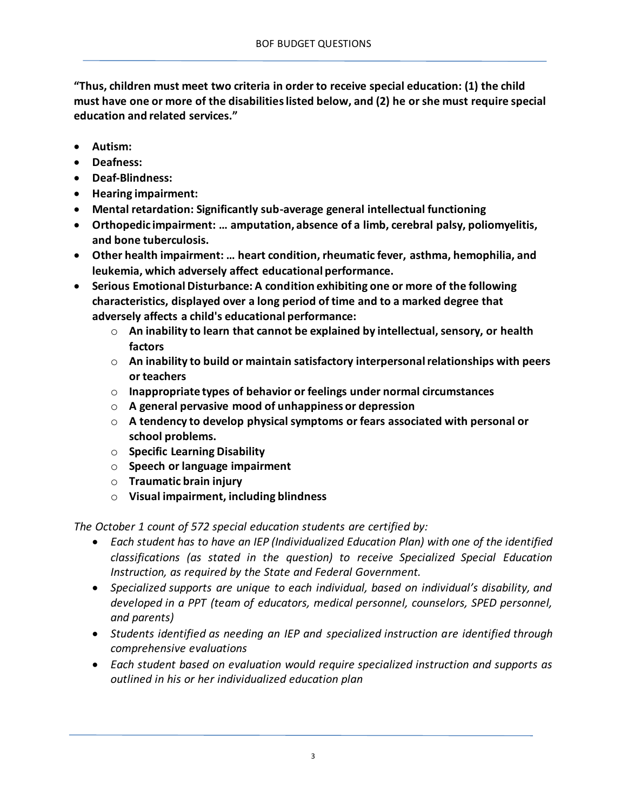**"Thus, children must meet two criteria in order to receive special education: (1) the child must have one or more of the disabilities listed below, and (2) he or she must require special education and related services."**

- **Autism:**
- **Deafness:**
- **Deaf-Blindness:**
- **Hearing impairment:**
- **Mental retardation: Significantly sub-average general intellectual functioning**
- **Orthopedic impairment: … amputation, absence of a limb, cerebral palsy, poliomyelitis, and bone tuberculosis.**
- **Other health impairment: … heart condition, rheumatic fever, asthma, hemophilia, and leukemia, which adversely affect educational performance.**
- **Serious Emotional Disturbance: A condition exhibiting one or more of the following characteristics, displayed over a long period of time and to a marked degree that adversely affects a child's educational performance:**
	- o **An inability to learn that cannot be explained by intellectual, sensory, or health factors**
	- o **An inability to build or maintain satisfactory interpersonal relationships with peers or teachers**
	- o **Inappropriate types of behavior or feelings under normal circumstances**
	- o **A general pervasive mood of unhappiness or depression**
	- o **A tendency to develop physical symptoms or fears associated with personal or school problems.**
	- o **Specific Learning Disability**
	- o **Speech or language impairment**
	- o **Traumatic brain injury**
	- o **Visual impairment, including blindness**

*The October 1 count of 572 special education students are certified by:*

- *Each student has to have an IEP (Individualized Education Plan) with one of the identified classifications (as stated in the question) to receive Specialized Special Education Instruction, as required by the State and Federal Government.*
- *Specialized supports are unique to each individual, based on individual's disability, and developed in a PPT (team of educators, medical personnel, counselors, SPED personnel, and parents)*
- *Students identified as needing an IEP and specialized instruction are identified through comprehensive evaluations*
- *Each student based on evaluation would require specialized instruction and supports as outlined in his or her individualized education plan*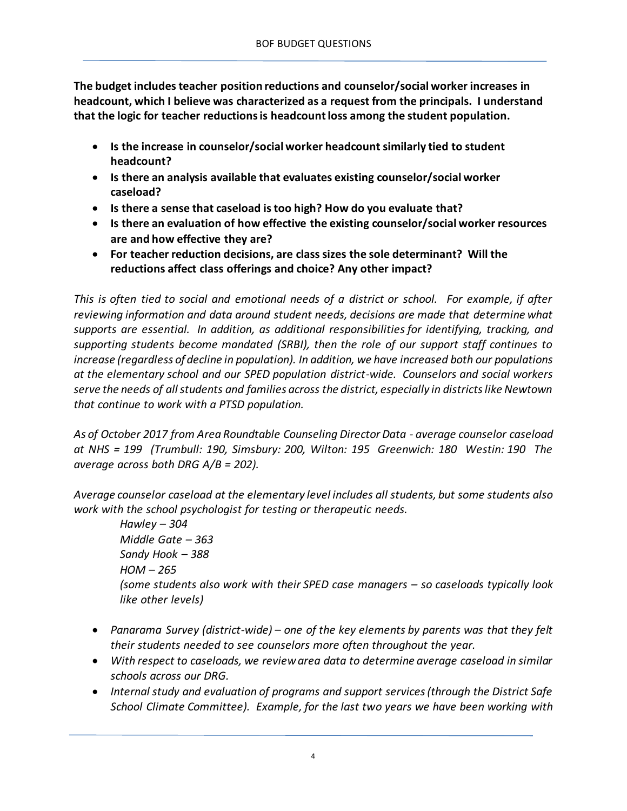**The budget includes teacher position reductions and counselor/social worker increases in headcount, which I believe was characterized as a request from the principals. I understand that the logic for teacher reductions is headcount loss among the student population.**

- **Is the increase in counselor/social worker headcount similarly tied to student headcount?**
- **Is there an analysis available that evaluates existing counselor/social worker caseload?**
- **Is there a sense that caseload is too high? How do you evaluate that?**
- **Is there an evaluation of how effective the existing counselor/social worker resources are and how effective they are?**
- **For teacher reduction decisions, are class sizes the sole determinant? Will the reductions affect class offerings and choice? Any other impact?**

*This is often tied to social and emotional needs of a district or school. For example, if after reviewing information and data around student needs, decisions are made that determine what supports are essential. In addition, as additional responsibilities for identifying, tracking, and supporting students become mandated (SRBI), then the role of our support staff continues to increase (regardless of decline in population). In addition, we have increased both our populations at the elementary school and our SPED population district-wide. Counselors and social workers serve the needs of all students and families across the district, especially in districts like Newtown that continue to work with a PTSD population.*

*As of October 2017 from Area Roundtable Counseling Director Data - average counselor caseload at NHS = 199 (Trumbull: 190, Simsbury: 200, Wilton: 195 Greenwich: 180 Westin: 190 The average across both DRG A/B = 202).*

*Average counselor caseload at the elementary level includes all students, but some students also work with the school psychologist for testing or therapeutic needs.*

*Hawley – 304 Middle Gate – 363 Sandy Hook – 388 HOM – 265 (some students also work with their SPED case managers – so caseloads typically look like other levels)*

- *Panarama Survey (district-wide) – one of the key elements by parents was that they felt their students needed to see counselors more often throughout the year.*
- *With respect to caseloads, we review area data to determine average caseload in similar schools across our DRG.*
- *Internal study and evaluation of programs and support services (through the District Safe School Climate Committee). Example, for the last two years we have been working with*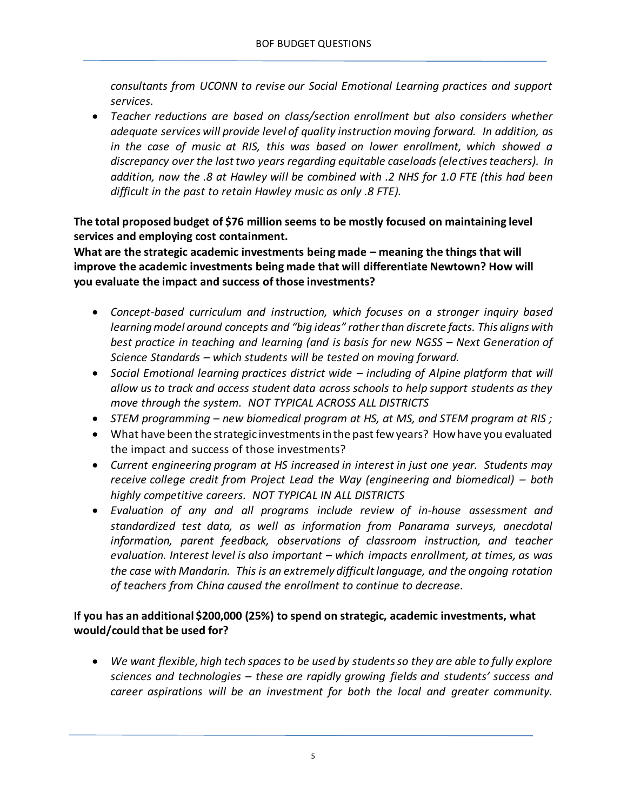*consultants from UCONN to revise our Social Emotional Learning practices and support services.*

 *Teacher reductions are based on class/section enrollment but also considers whether adequate services will provide level of quality instruction moving forward. In addition, as in the case of music at RIS, this was based on lower enrollment, which showed a discrepancy over the last two years regarding equitable caseloads (electives teachers). In addition, now the .8 at Hawley will be combined with .2 NHS for 1.0 FTE (this had been difficult in the past to retain Hawley music as only .8 FTE).*

# **The total proposed budget of \$76 million seems to be mostly focused on maintaining level services and employing cost containment.**

**What are the strategic academic investments being made – meaning the things that will improve the academic investments being made that will differentiate Newtown? How will you evaluate the impact and success of those investments?**

- *Concept-based curriculum and instruction, which focuses on a stronger inquiry based learning model around concepts and "big ideas" rather than discrete facts. This aligns with best practice in teaching and learning (and is basis for new NGSS – Next Generation of Science Standards – which students will be tested on moving forward.*
- *Social Emotional learning practices district wide – including of Alpine platform that will allow us to track and access student data across schools to help support students as they move through the system. NOT TYPICAL ACROSS ALL DISTRICTS*
- *STEM programming – new biomedical program at HS, at MS, and STEM program at RIS ;*
- What have been the strategic investments in the past few years? How have you evaluated the impact and success of those investments?
- *Current engineering program at HS increased in interest in just one year. Students may receive college credit from Project Lead the Way (engineering and biomedical) – both highly competitive careers. NOT TYPICAL IN ALL DISTRICTS*
- *Evaluation of any and all programs include review of in-house assessment and standardized test data, as well as information from Panarama surveys, anecdotal information, parent feedback, observations of classroom instruction, and teacher evaluation. Interest level is also important – which impacts enrollment, at times, as was the case with Mandarin. This is an extremely difficult language, and the ongoing rotation of teachers from China caused the enrollment to continue to decrease.*

# **If you has an additional \$200,000 (25%) to spend on strategic, academic investments, what would/could that be used for?**

 *We want flexible, high tech spaces to be used by students so they are able to fully explore sciences and technologies – these are rapidly growing fields and students' success and career aspirations will be an investment for both the local and greater community.*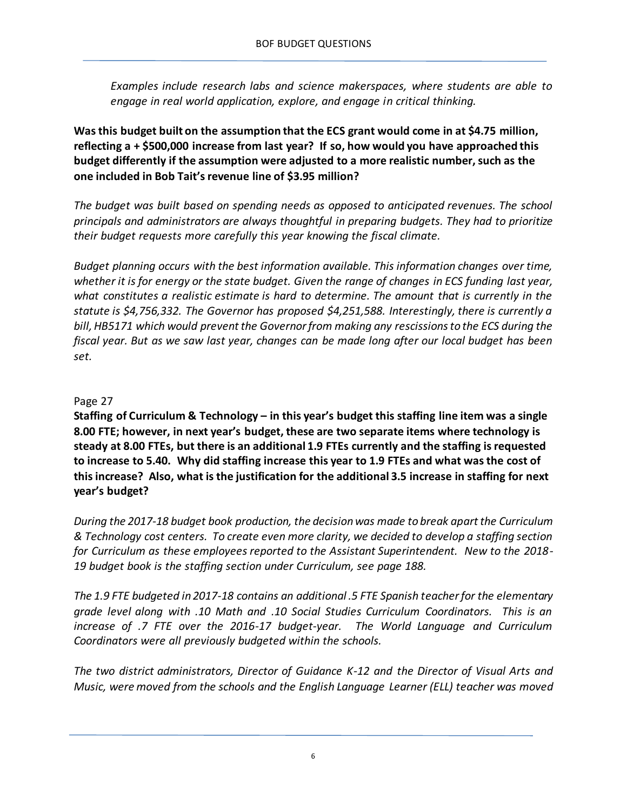*Examples include research labs and science makerspaces, where students are able to engage in real world application, explore, and engage in critical thinking.*

**Was this budget built on the assumption that the ECS grant would come in at \$4.75 million, reflecting a + \$500,000 increase from last year? If so, how would you have approached this budget differently if the assumption were adjusted to a more realistic number, such as the one included in Bob Tait's revenue line of \$3.95 million?**

*The budget was built based on spending needs as opposed to anticipated revenues. The school principals and administrators are always thoughtful in preparing budgets. They had to prioritize their budget requests more carefully this year knowing the fiscal climate.*

*Budget planning occurs with the best information available. This information changes over time, whether it is for energy or the state budget. Given the range of changes in ECS funding last year, what constitutes a realistic estimate is hard to determine. The amount that is currently in the statute is \$4,756,332. The Governor has proposed \$4,251,588. Interestingly, there is currently a bill, HB5171 which would prevent the Governor from making any rescissions to the ECS during the fiscal year. But as we saw last year, changes can be made long after our local budget has been set.*

# Page 27

**Staffing of Curriculum & Technology – in this year's budget this staffing line item was a single 8.00 FTE; however, in next year's budget, these are two separate items where technology is steady at 8.00 FTEs, but there is an additional 1.9 FTEs currently and the staffing is requested to increase to 5.40. Why did staffing increase this year to 1.9 FTEs and what was the cost of this increase? Also, what is the justification for the additional 3.5 increase in staffing for next year's budget?** 

*During the 2017-18 budget book production, the decision was made to break apart the Curriculum & Technology cost centers. To create even more clarity, we decided to develop a staffing section for Curriculum as these employees reported to the Assistant Superintendent. New to the 2018- 19 budget book is the staffing section under Curriculum, see page 188.*

*The 1.9 FTE budgeted in 2017-18 contains an additional .5 FTE Spanish teacher for the elementary grade level along with .10 Math and .10 Social Studies Curriculum Coordinators. This is an increase of .7 FTE over the 2016-17 budget-year. The World Language and Curriculum Coordinators were all previously budgeted within the schools.*

*The two district administrators, Director of Guidance K-12 and the Director of Visual Arts and Music, were moved from the schools and the English Language Learner (ELL) teacher was moved*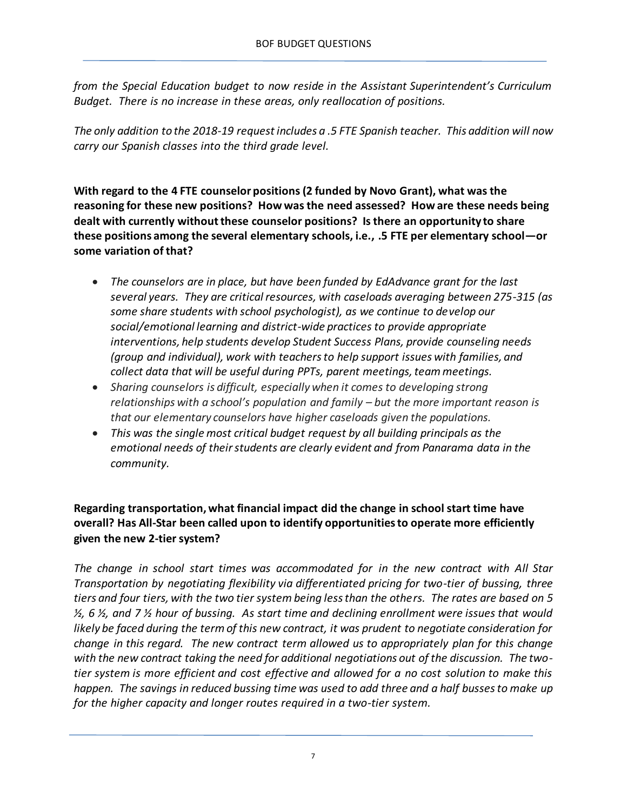*from the Special Education budget to now reside in the Assistant Superintendent's Curriculum Budget. There is no increase in these areas, only reallocation of positions.*

*The only addition to the 2018-19 request includes a .5 FTE Spanish teacher. This addition will now carry our Spanish classes into the third grade level.*

**With regard to the 4 FTE counselor positions (2 funded by Novo Grant), what was the reasoning for these new positions? How was the need assessed? How are these needs being dealt with currently without these counselor positions? Is there an opportunity to share these positions among the several elementary schools, i.e., .5 FTE per elementary school—or some variation of that?**

- *The counselors are in place, but have been funded by EdAdvance grant for the last several years. They are critical resources, with caseloads averaging between 275-315 (as some share students with school psychologist), as we continue to develop our social/emotional learning and district-wide practices to provide appropriate interventions, help students develop Student Success Plans, provide counseling needs (group and individual), work with teachers to help support issues with families, and collect data that will be useful during PPTs, parent meetings, team meetings.*
- *Sharing counselors is difficult, especially when it comes to developing strong relationships with a school's population and family – but the more important reason is that our elementary counselors have higher caseloads given the populations.*
- *This was the single most critical budget request by all building principals as the emotional needs of their students are clearly evident and from Panarama data in the community.*

# **Regarding transportation, what financial impact did the change in school start time have overall? Has All-Star been called upon to identify opportunities to operate more efficiently given the new 2-tier system?**

*The change in school start times was accommodated for in the new contract with All Star Transportation by negotiating flexibility via differentiated pricing for two-tier of bussing, three tiers and four tiers, with the two tier system being less than the others. The rates are based on 5 ½, 6 ½, and 7 ½ hour of bussing. As start time and declining enrollment were issues that would likely be faced during the term of this new contract, it was prudent to negotiate consideration for change in this regard. The new contract term allowed us to appropriately plan for this change with the new contract taking the need for additional negotiations out of the discussion. The twotier system is more efficient and cost effective and allowed for a no cost solution to make this happen. The savings in reduced bussing time was used to add three and a half busses to make up for the higher capacity and longer routes required in a two-tier system.*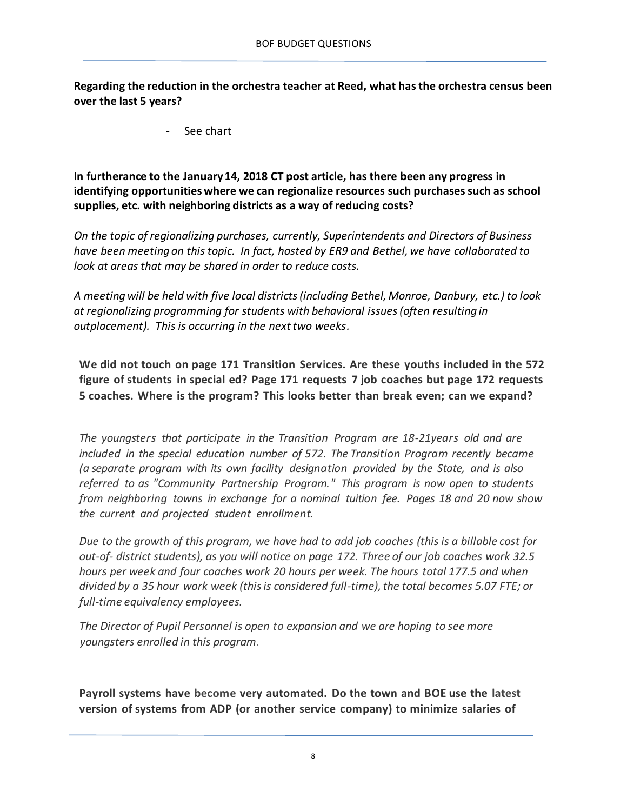**Regarding the reduction in the orchestra teacher at Reed, what has the orchestra census been over the last 5 years?**

See chart

**In furtherance to the January 14, 2018 CT post article, has there been any progress in identifying opportunities where we can regionalize resources such purchases such as school supplies, etc. with neighboring districts as a way of reducing costs?**

*On the topic of regionalizing purchases, currently, Superintendents and Directors of Business have been meeting on this topic. In fact, hosted by ER9 and Bethel, we have collaborated to look at areas that may be shared in order to reduce costs.* 

*A meeting will be held with five local districts (including Bethel, Monroe, Danbury, etc.) to look at regionalizing programming for students with behavioral issues (often resulting in outplacement). This is occurring in the next two weeks.*

**We did not touch on page 171 Transition Services. Are these youths included in the 572 figure of students in special ed? Page 171 requests 7 job coaches but page 172 requests 5 coaches. Where is the program? This looks better than break even; can we expand?**

*The youngsters that participate in the Transition Program are 18-21years old and are included in the special education number of 572. The Transition Program recently became (a separate program with its own facility designation provided by the State, and is also referred to as "Community Partnership Program." This program is now open to students from neighboring towns in exchange for a nominal tuition fee. Pages 18 and 20 now show the current and projected student enrollment.*

*Due to the growth of this program, we have had to add job coaches (this is a billable cost for out-of- district students), as you will notice on page 172. Three of our job coaches work 32.5 hours per week and four coaches work 20 hours per week. The hours total 177.5 and when divided by a 35 hour work week (this is considered full-time), the total becomes 5.07 FTE; or full-time equivalency employees.*

*The Director of Pupil Personnel is open to expansion and we are hoping to see more youngsters enrolled in this program.*

**Payroll systems have become very automated. Do the town and BOE use the latest version of systems from ADP (or another service company) to minimize salaries of**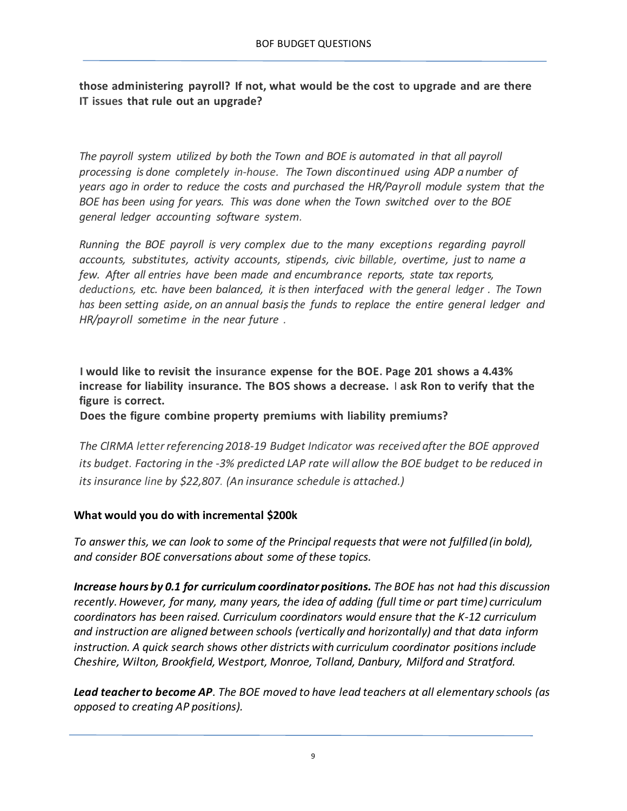**those administering payroll? If not, what would be the cost to upgrade and are there IT issues that rule out an upgrade?**

*The payroll system utilized by both the Town and BOE is automated in that all payroll processing is done completely in-house. The Town discontinued using ADP a number of years ago in order to reduce the costs and purchased the HR/Payroll module system that the BOE has been using for years. This was done when the Town switched over to the BOE general ledger accounting software system.*

*Running the BOE payroll is very complex due to the many exceptions regarding payroll accounts, substitutes, activity accounts, stipends, civic billable, overtime, just to name a few. After all entries have been made and encumbrance reports, state tax reports, deductions, etc. have been balanced, it isthen interfaced with the general ledger . The Town has been setting aside, on an annual basis, the funds to replace the entire general ledger and HR/payroll sometime in the near future .*

**I would like to revisit the insurance expense for the BOE. Page 201 shows a 4.43% increase for liability insurance. The BOS shows a decrease.** I **ask Ron to verify that the figure is correct.**

**Does the figure combine property premiums with liability premiums?**

*The ClRMA letter referencing 2018-19 Budget Indicator was received after the BOE approved its budget. Factoring in the -3% predicted LAP rate will allow the BOE budget to be reduced in its insurance line by \$22,807. (An insurance schedule is attached.)*

### **What would you do with incremental \$200k**

*To answer this, we can look to some of the Principal requests that were not fulfilled (in bold), and consider BOE conversations about some of these topics.*

*Increase hours by 0.1 for curriculum coordinator positions. The BOE has not had this discussion recently. However, for many, many years, the idea of adding (full time or part time) curriculum coordinators has been raised. Curriculum coordinators would ensure that the K-12 curriculum and instruction are aligned between schools (vertically and horizontally) and that data inform instruction. A quick search shows other districts with curriculum coordinator positions include Cheshire, Wilton, Brookfield, Westport, Monroe, Tolland, Danbury, Milford and Stratford.*

*Lead teacher to become AP. The BOE moved to have lead teachers at all elementary schools (as opposed to creating AP positions).*